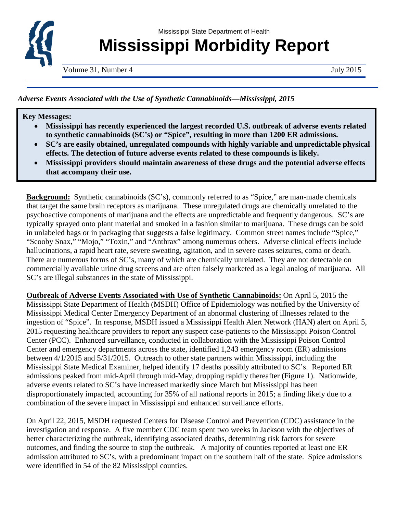

 $\overline{a}$ 

Volume 31, Number 4 July 2015

*Adverse Events Associated with the Use of Synthetic Cannabinoids—Mississippi, 2015*

**Key Messages:**

- **Mississippi has recently experienced the largest recorded U.S. outbreak of adverse events related to synthetic cannabinoids (SC's) or "Spice", resulting in more than 1200 ER admissions.**
- **SC's are easily obtained, unregulated compounds with highly variable and unpredictable physical effects. The detection of future adverse events related to these compounds is likely.**
- **Mississippi providers should maintain awareness of these drugs and the potential adverse effects that accompany their use.**

**Background:** Synthetic cannabinoids (SC's), commonly referred to as "Spice," are man-made chemicals that target the same brain receptors as marijuana. These unregulated drugs are chemically unrelated to the psychoactive components of marijuana and the effects are unpredictable and frequently dangerous. SC's are typically sprayed onto plant material and smoked in a fashion similar to marijuana. These drugs can be sold in unlabeled bags or in packaging that suggests a false legitimacy. Common street names include "Spice," "Scooby Snax," "Mojo," "Toxin," and "Anthrax" among numerous others. Adverse clinical effects include hallucinations, a rapid heart rate, severe sweating, agitation, and in severe cases seizures, coma or death. There are numerous forms of SC's, many of which are chemically unrelated. They are not detectable on commercially available urine drug screens and are often falsely marketed as a legal analog of marijuana. All SC's are illegal substances in the state of Mississippi.

**Outbreak of Adverse Events Associated with Use of Synthetic Cannabinoids:** On April 5, 2015 the Mississippi State Department of Health (MSDH) Office of Epidemiology was notified by the University of Mississippi Medical Center Emergency Department of an abnormal clustering of illnesses related to the ingestion of "Spice". In response, MSDH issued a Mississippi Health Alert Network (HAN) alert on April 5, 2015 requesting healthcare providers to report any suspect case-patients to the Mississippi Poison Control Center (PCC). Enhanced surveillance, conducted in collaboration with the Mississippi Poison Control Center and emergency departments across the state, identified 1,243 emergency room (ER) admissions between 4/1/2015 and 5/31/2015. Outreach to other state partners within Mississippi, including the Mississippi State Medical Examiner, helped identify 17 deaths possibly attributed to SC's. Reported ER admissions peaked from mid-April through mid-May, dropping rapidly thereafter (Figure 1). Nationwide, adverse events related to SC's have increased markedly since March but Mississippi has been disproportionately impacted, accounting for 35% of all national reports in 2015; a finding likely due to a combination of the severe impact in Mississippi and enhanced surveillance efforts.

On April 22, 2015, MSDH requested Centers for Disease Control and Prevention (CDC) assistance in the investigation and response. A five member CDC team spent two weeks in Jackson with the objectives of better characterizing the outbreak, identifying associated deaths, determining risk factors for severe outcomes, and finding the source to stop the outbreak. A majority of counties reported at least one ER admission attributed to SC's, with a predominant impact on the southern half of the state. Spice admissions were identified in 54 of the 82 Mississippi counties.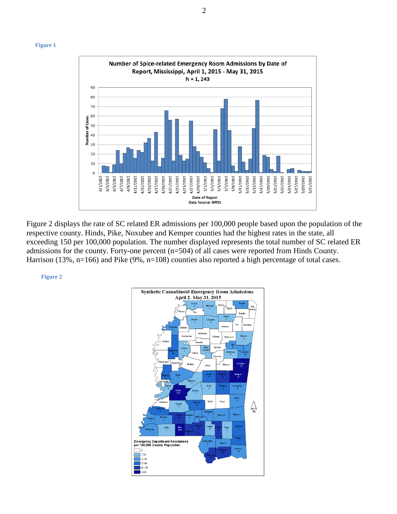**Figure 1**



Figure 2 displays the rate of SC related ER admissions per 100,000 people based upon the population of the respective county. Hinds, Pike, Noxubee and Kemper counties had the highest rates in the state, all exceeding 150 per 100,000 population. The number displayed represents the total number of SC related ER admissions for the county. Forty-one percent (n=504) of all cases were reported from Hinds County. Harrison (13%, n=166) and Pike (9%, n=108) counties also reported a high percentage of total cases.

**Figure 2**

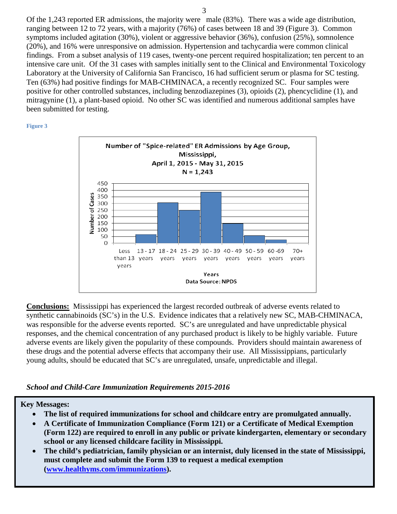Of the 1,243 reported ER admissions, the majority were male (83%). There was a wide age distribution, ranging between 12 to 72 years, with a majority (76%) of cases between 18 and 39 (Figure 3). Common symptoms included agitation (30%), violent or aggressive behavior (36%), confusion (25%), somnolence (20%), and 16% were unresponsive on admission. Hypertension and tachycardia were common clinical findings. From a subset analysis of 119 cases, twenty-one percent required hospitalization; ten percent to an intensive care unit. Of the 31 cases with samples initially sent to the Clinical and Environmental Toxicology Laboratory at the University of California San Francisco, 16 had sufficient serum or plasma for SC testing. Ten (63%) had positive findings for MAB-CHMINACA, a recently recognized SC. Four samples were positive for other controlled substances, including benzodiazepines (3), opioids (2), phencyclidine (1), and mitragynine (1), a plant-based opioid. No other SC was identified and numerous additional samples have been submitted for testing.





**Conclusions:** Mississippi has experienced the largest recorded outbreak of adverse events related to synthetic cannabinoids (SC's) in the U.S. Evidence indicates that a relatively new SC, MAB-CHMINACA, was responsible for the adverse events reported. SC's are unregulated and have unpredictable physical responses, and the chemical concentration of any purchased product is likely to be highly variable. Future adverse events are likely given the popularity of these compounds. Providers should maintain awareness of these drugs and the potential adverse effects that accompany their use. All Mississippians, particularly young adults, should be educated that SC's are unregulated, unsafe, unpredictable and illegal.

## *School and Child-Care Immunization Requirements 2015-2016*

**Key Messages:**

- **The list of required immunizations for school and childcare entry are promulgated annually.**
- **A Certificate of Immunization Compliance (Form 121) or a Certificate of Medical Exemption (Form 122) are required to enroll in any public or private kindergarten, elementary or secondary school or any licensed childcare facility in Mississippi.**
- **The child's pediatrician, family physician or an internist, duly licensed in the state of Mississippi, must complete and submit the Form 139 to request a medical exemption [\(www.healthyms.com/immunizations\)](http://www.healthyms.com/immunizations).**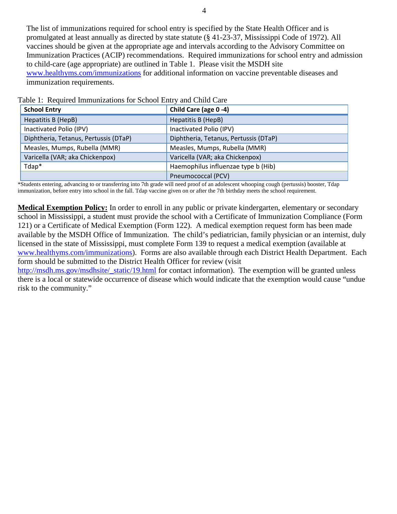The list of immunizations required for school entry is specified by the State Health Officer and is promulgated at least annually as directed by state statute (§ 41-23-37, Mississippi Code of 1972). All vaccines should be given at the appropriate age and intervals according to the Advisory Committee on Immunization Practices (ACIP) recommendations. Required immunizations for school entry and admission to child-care (age appropriate) are outlined in Table 1. Please visit the MSDH site [www.healthyms.com/immunizations](http://www.healthyms.com/immunizations) for additional information on vaccine preventable diseases and immunization requirements.

| <b>School Entry</b>                   | Child Care (age 0 -4)                 |
|---------------------------------------|---------------------------------------|
| Hepatitis B (HepB)                    | Hepatitis B (HepB)                    |
| Inactivated Polio (IPV)               | Inactivated Polio (IPV)               |
| Diphtheria, Tetanus, Pertussis (DTaP) | Diphtheria, Tetanus, Pertussis (DTaP) |
| Measles, Mumps, Rubella (MMR)         | Measles, Mumps, Rubella (MMR)         |
| Varicella (VAR; aka Chickenpox)       | Varicella (VAR; aka Chickenpox)       |
| Tdap*                                 | Haemophilus influenzae type b (Hib)   |
|                                       | Pneumococcal (PCV)                    |

Table 1: Required Immunizations for School Entry and Child Care

\*Students entering, advancing to or transferring into 7th grade will need proof of an adolescent whooping cough (pertussis) booster, Tdap immunization, before entry into school in the fall. Tdap vaccine given on or after the 7th birthday meets the school requirement.

**Medical Exemption Policy:** In order to enroll in any public or private kindergarten, elementary or secondary school in Mississippi, a student must provide the school with a Certificate of Immunization Compliance (Form 121) or a Certificate of Medical Exemption (Form 122). A medical exemption request form has been made available by the MSDH Office of Immunization. The child's pediatrician, family physician or an internist, duly licensed in the state of Mississippi, must complete Form 139 to request a medical exemption (available at [www.healthyms.com/immunizations\)](http://www.healthyms.com/immunizations). Forms are also available through each District Health Department. Each form should be submitted to the District Health Officer for review (visit

[http://msdh.ms.gov/msdhsite/\\_static/19.html](http://msdh.ms.gov/msdhsite/_static/19.html) for contact information). The exemption will be granted unless there is a local or statewide occurrence of disease which would indicate that the exemption would cause "undue risk to the community."